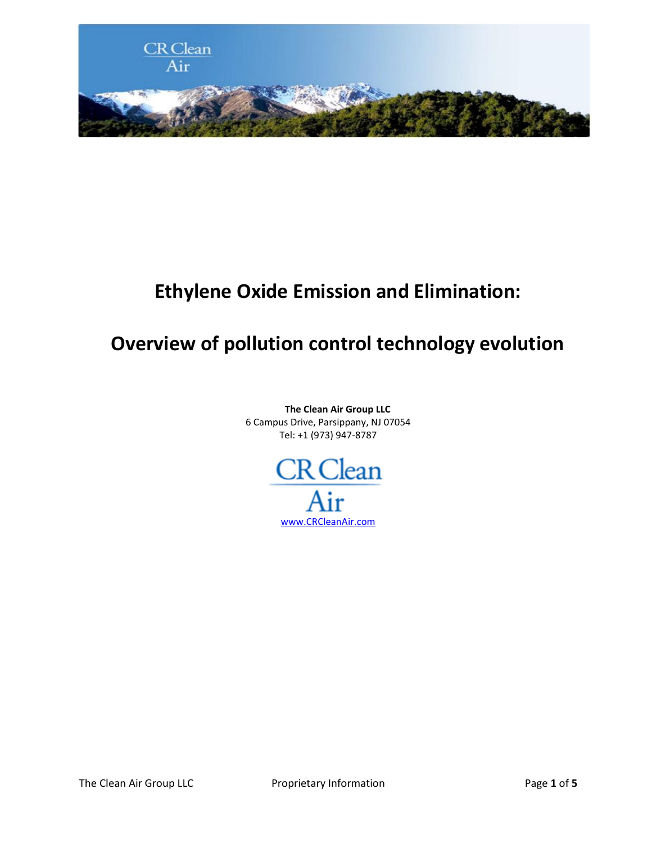

# **Ethylene Oxide Emission and Elimination:**

## **Overview of pollution control technology evolution**

**The Clean Air Group LLC** 6 Campus Drive, Parsippany, NJ 07054 Tel: +1 (973) 947-8787

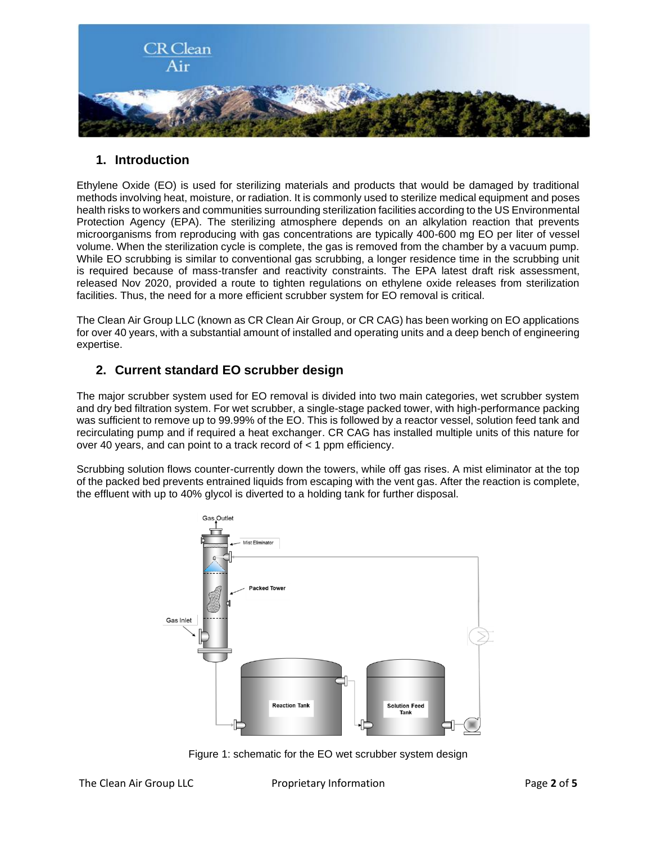

#### **1. Introduction**

Ethylene Oxide (EO) is used for sterilizing materials and products that would be damaged by traditional methods involving heat, moisture, or radiation. It is commonly used to sterilize medical equipment and poses health risks to workers and communities surrounding sterilization facilities according to the US Environmental Protection Agency (EPA). The sterilizing atmosphere depends on an alkylation reaction that prevents microorganisms from reproducing with gas concentrations are typically 400-600 mg EO per liter of vessel volume. When the sterilization cycle is complete, the gas is removed from the chamber by a vacuum pump. While EO scrubbing is similar to conventional gas scrubbing, a longer residence time in the scrubbing unit is required because of mass-transfer and reactivity constraints. The EPA latest draft risk assessment, released Nov 2020, provided a route to tighten regulations on ethylene oxide releases from sterilization facilities. Thus, the need for a more efficient scrubber system for EO removal is critical.

The Clean Air Group LLC (known as CR Clean Air Group, or CR CAG) has been working on EO applications for over 40 years, with a substantial amount of installed and operating units and a deep bench of engineering expertise.

## **2. Current standard EO scrubber design**

The major scrubber system used for EO removal is divided into two main categories, wet scrubber system and dry bed filtration system. For wet scrubber, a single-stage packed tower, with high-performance packing was sufficient to remove up to 99.99% of the EO. This is followed by a reactor vessel, solution feed tank and recirculating pump and if required a heat exchanger. CR CAG has installed multiple units of this nature for over 40 years, and can point to a track record of < 1 ppm efficiency.

Scrubbing solution flows counter-currently down the towers, while off gas rises. A mist eliminator at the top of the packed bed prevents entrained liquids from escaping with the vent gas. After the reaction is complete, the effluent with up to 40% glycol is diverted to a holding tank for further disposal.



Figure 1: schematic for the EO wet scrubber system design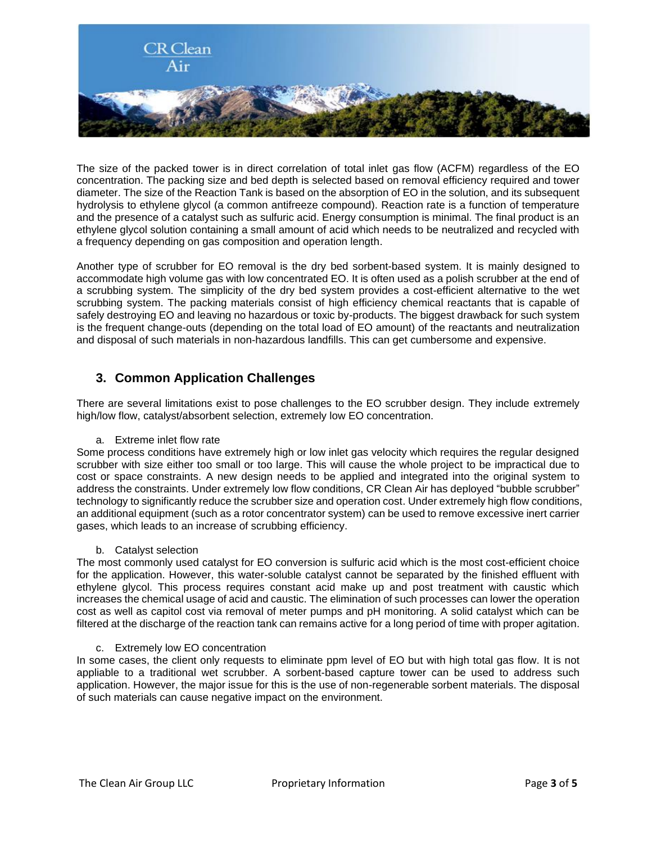

The size of the packed tower is in direct correlation of total inlet gas flow (ACFM) regardless of the EO concentration. The packing size and bed depth is selected based on removal efficiency required and tower diameter. The size of the Reaction Tank is based on the absorption of EO in the solution, and its subsequent hydrolysis to ethylene glycol (a common antifreeze compound). Reaction rate is a function of temperature and the presence of a catalyst such as sulfuric acid. Energy consumption is minimal. The final product is an ethylene glycol solution containing a small amount of acid which needs to be neutralized and recycled with a frequency depending on gas composition and operation length.

Another type of scrubber for EO removal is the dry bed sorbent-based system. It is mainly designed to accommodate high volume gas with low concentrated EO. It is often used as a polish scrubber at the end of a scrubbing system. The simplicity of the dry bed system provides a cost-efficient alternative to the wet scrubbing system. The packing materials consist of high efficiency chemical reactants that is capable of safely destroying EO and leaving no hazardous or toxic by-products. The biggest drawback for such system is the frequent change-outs (depending on the total load of EO amount) of the reactants and neutralization and disposal of such materials in non-hazardous landfills. This can get cumbersome and expensive.

### **3. Common Application Challenges**

There are several limitations exist to pose challenges to the EO scrubber design. They include extremely high/low flow, catalyst/absorbent selection, extremely low EO concentration.

a. Extreme inlet flow rate

Some process conditions have extremely high or low inlet gas velocity which requires the regular designed scrubber with size either too small or too large. This will cause the whole project to be impractical due to cost or space constraints. A new design needs to be applied and integrated into the original system to address the constraints. Under extremely low flow conditions, CR Clean Air has deployed "bubble scrubber" technology to significantly reduce the scrubber size and operation cost. Under extremely high flow conditions, an additional equipment (such as a rotor concentrator system) can be used to remove excessive inert carrier gases, which leads to an increase of scrubbing efficiency.

#### b. Catalyst selection

The most commonly used catalyst for EO conversion is sulfuric acid which is the most cost-efficient choice for the application. However, this water-soluble catalyst cannot be separated by the finished effluent with ethylene glycol. This process requires constant acid make up and post treatment with caustic which increases the chemical usage of acid and caustic. The elimination of such processes can lower the operation cost as well as capitol cost via removal of meter pumps and pH monitoring. A solid catalyst which can be filtered at the discharge of the reaction tank can remains active for a long period of time with proper agitation.

#### c. Extremely low EO concentration

In some cases, the client only requests to eliminate ppm level of EO but with high total gas flow. It is not appliable to a traditional wet scrubber. A sorbent-based capture tower can be used to address such application. However, the major issue for this is the use of non-regenerable sorbent materials. The disposal of such materials can cause negative impact on the environment.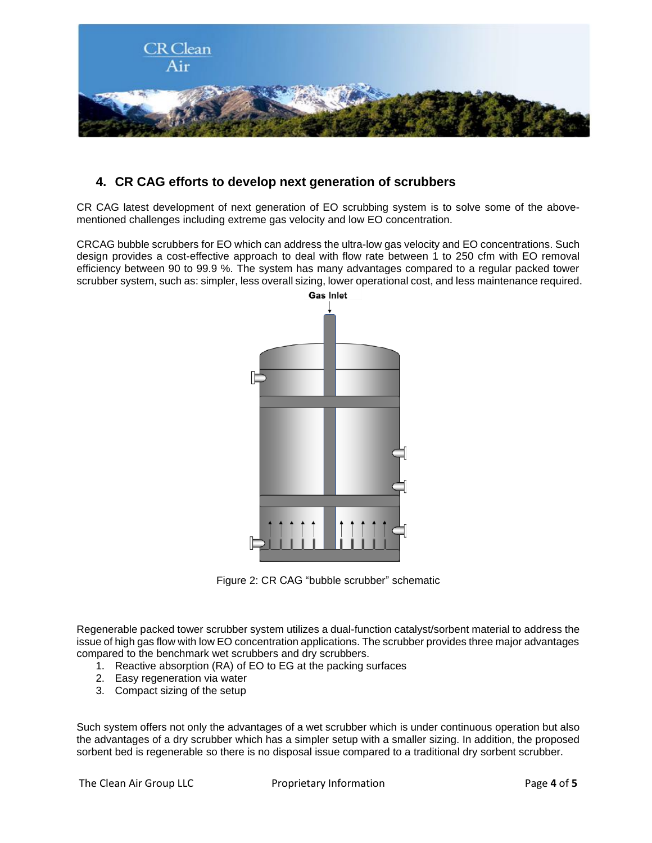

#### **4. CR CAG efforts to develop next generation of scrubbers**

CR CAG latest development of next generation of EO scrubbing system is to solve some of the abovementioned challenges including extreme gas velocity and low EO concentration.

CRCAG bubble scrubbers for EO which can address the ultra-low gas velocity and EO concentrations. Such design provides a cost-effective approach to deal with flow rate between 1 to 250 cfm with EO removal efficiency between 90 to 99.9 %. The system has many advantages compared to a regular packed tower scrubber system, such as: simpler, less overall sizing, lower operational cost, and less maintenance required.



Figure 2: CR CAG "bubble scrubber" schematic

Regenerable packed tower scrubber system utilizes a dual-function catalyst/sorbent material to address the issue of high gas flow with low EO concentration applications. The scrubber provides three major advantages compared to the benchmark wet scrubbers and dry scrubbers.

- 1. Reactive absorption (RA) of EO to EG at the packing surfaces
- 2. Easy regeneration via water
- 3. Compact sizing of the setup

Such system offers not only the advantages of a wet scrubber which is under continuous operation but also the advantages of a dry scrubber which has a simpler setup with a smaller sizing. In addition, the proposed sorbent bed is regenerable so there is no disposal issue compared to a traditional dry sorbent scrubber.